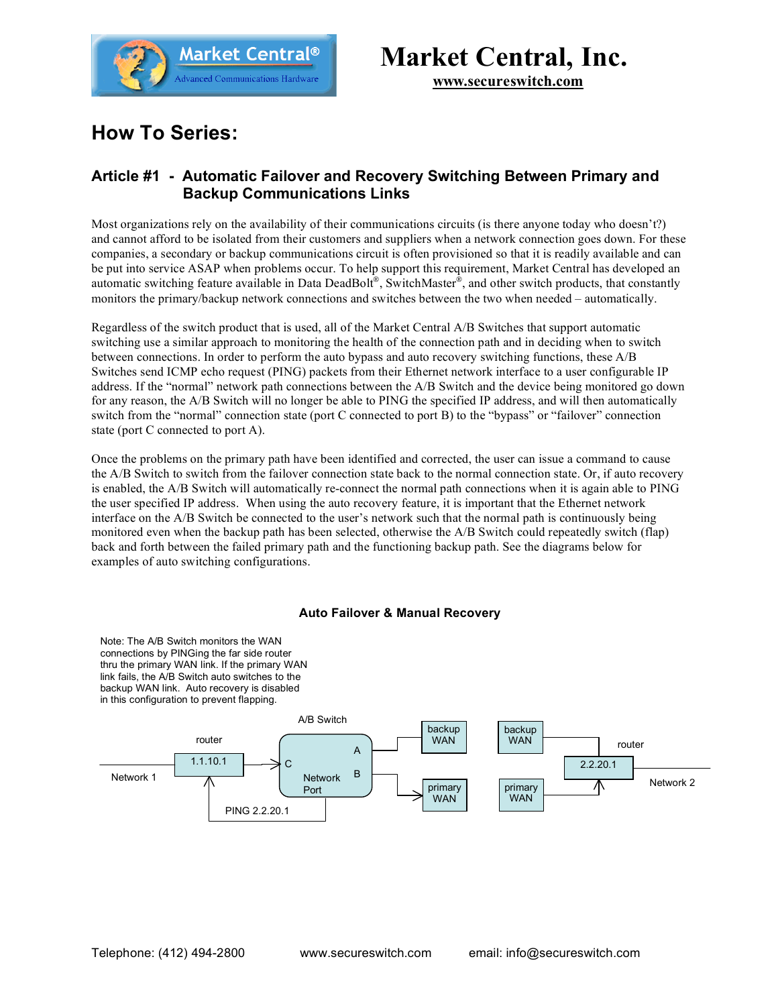

# **Market Central, Inc.**

**www.secureswitch.com**

## **How To Series:**

### **Article #1 - Automatic Failover and Recovery Switching Between Primary and Backup Communications Links**

Most organizations rely on the availability of their communications circuits (is there anyone today who doesn't?) and cannot afford to be isolated from their customers and suppliers when a network connection goes down. For these companies, a secondary or backup communications circuit is often provisioned so that it is readily available and can be put into service ASAP when problems occur. To help support this requirement, Market Central has developed an automatic switching feature available in Data DeadBolt®, SwitchMaster®, and other switch products, that constantly monitors the primary/backup network connections and switches between the two when needed – automatically.

Regardless of the switch product that is used, all of the Market Central A/B Switches that support automatic switching use a similar approach to monitoring the health of the connection path and in deciding when to switch between connections. In order to perform the auto bypass and auto recovery switching functions, these A/B Switches send ICMP echo request (PING) packets from their Ethernet network interface to a user configurable IP address. If the "normal" network path connections between the A/B Switch and the device being monitored go down for any reason, the A/B Switch will no longer be able to PING the specified IP address, and will then automatically switch from the "normal" connection state (port C connected to port B) to the "bypass" or "failover" connection state (port C connected to port A).

Once the problems on the primary path have been identified and corrected, the user can issue a command to cause the A/B Switch to switch from the failover connection state back to the normal connection state. Or, if auto recovery is enabled, the A/B Switch will automatically re-connect the normal path connections when it is again able to PING the user specified IP address. When using the auto recovery feature, it is important that the Ethernet network interface on the A/B Switch be connected to the user's network such that the normal path is continuously being monitored even when the backup path has been selected, otherwise the A/B Switch could repeatedly switch (flap) back and forth between the failed primary path and the functioning backup path. See the diagrams below for examples of auto switching configurations.

#### **Auto Failover & Manual Recovery**

Note: The A/B Switch monitors the WAN connections by PINGing the far side router thru the primary WAN link. If the primary WAN link fails, the A/B Switch auto switches to the backup WAN link. Auto recovery is disabled in this configuration to prevent flapping.